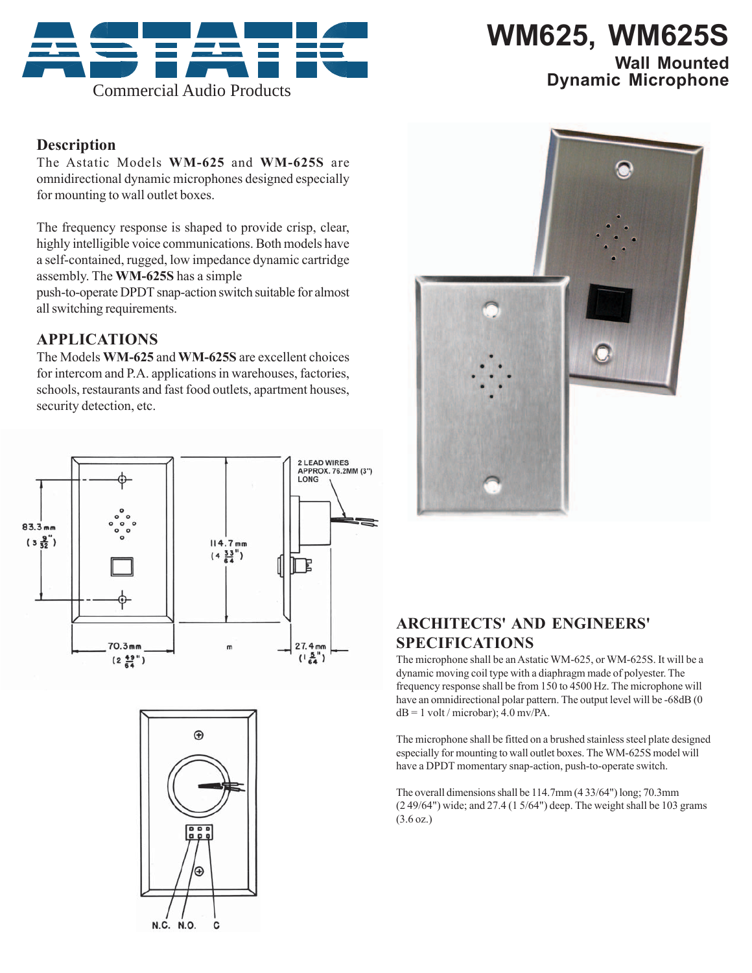

# **WM625, WM625S**

## **Wall Mounted**

### **Description**

The Astatic Models **WM-625** and **WM-625S** are omnidirectional dynamic microphones designed especially for mounting to wall outlet boxes.

The frequency response is shaped to provide crisp, clear, highly intelligible voice communications. Both models have a self-contained, rugged, low impedance dynamic cartridge assembly. The **WM-625S** has a simple

push-to-operate DPDT snap-action switch suitable for almost all switching requirements.

## **APPLICATIONS**

The Models **WM-625** and **WM-625S** are excellent choices for intercom and P.A. applications in warehouses, factories, schools, restaurants and fast food outlets, apartment houses, security detection, etc.







## **ARCHITECTS' AND ENGINEERS' SPECIFICATIONS**

The microphone shall be an Astatic WM-625, or WM-625S. It will be a dynamic moving coil type with a diaphragm made of polyester. The frequency response shall be from 150 to 4500 Hz. The microphone will have an omnidirectional polar pattern. The output level will be -68dB (0)  $dB = 1$  volt / microbar); 4.0 mv/PA.

The microphone shall be fitted on a brushed stainless steel plate designed especially for mounting to wall outlet boxes. The WM-625S model will have a DPDT momentary snap-action, push-to-operate switch.

The overall dimensions shall be 114.7mm (4 33/64") long; 70.3mm (2 49/64") wide; and 27.4 (1 5/64") deep. The weight shall be 103 grams (3.6 oz.)